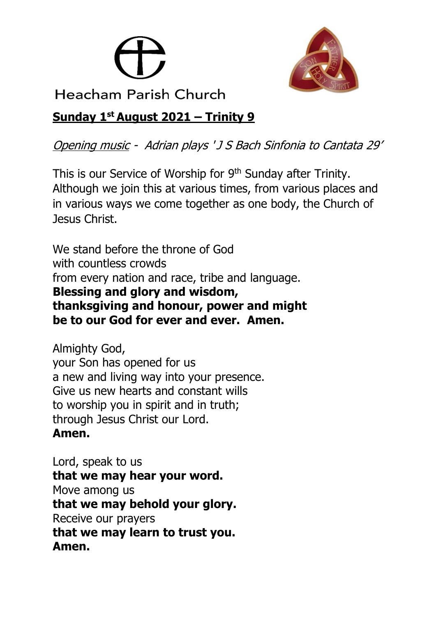



Heacham Parish Church

# **Sunday 1 st August 2021 – Trinity 9**

Opening music - Adrian plays ' J S Bach Sinfonia to Cantata 29'

This is our Service of Worship for 9<sup>th</sup> Sunday after Trinity. Although we join this at various times, from various places and in various ways we come together as one body, the Church of Jesus Christ.

We stand before the throne of God with countless crowds from every nation and race, tribe and language. **Blessing and glory and wisdom, thanksgiving and honour, power and might be to our God for ever and ever. Amen.**

Almighty God, your Son has opened for us a new and living way into your presence. Give us new hearts and constant wills to worship you in spirit and in truth; through Jesus Christ our Lord. **Amen.**

Lord, speak to us **that we may hear your word.** Move among us **that we may behold your glory.** Receive our prayers **that we may learn to trust you. Amen.**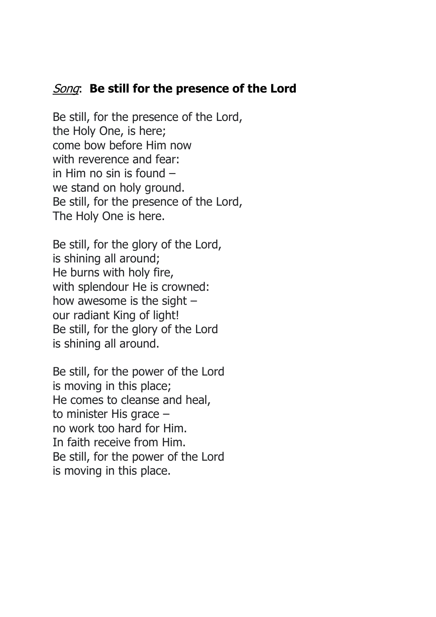## Song: **Be still for the presence of the Lord**

Be still, for the presence of the Lord, the Holy One, is here; come bow before Him now with reverence and fear: in Him no sin is found – we stand on holy ground. Be still, for the presence of the Lord, The Holy One is here.

Be still, for the glory of the Lord, is shining all around; He burns with holy fire, with splendour He is crowned: how awesome is the sight  $$ our radiant King of light! Be still, for the glory of the Lord is shining all around.

Be still, for the power of the Lord is moving in this place; He comes to cleanse and heal, to minister His grace – no work too hard for Him. In faith receive from Him. Be still, for the power of the Lord is moving in this place.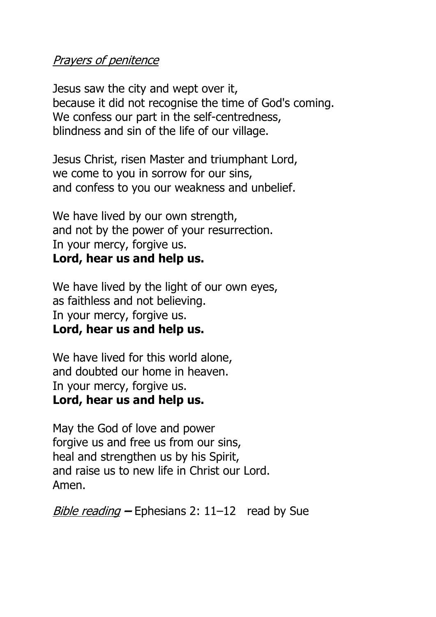### Prayers of penitence

Jesus saw the city and wept over it, because it did not recognise the time of God's coming. We confess our part in the self-centredness, blindness and sin of the life of our village.

Jesus Christ, risen Master and triumphant Lord, we come to you in sorrow for our sins, and confess to you our weakness and unbelief.

We have lived by our own strength, and not by the power of your resurrection. In your mercy, forgive us. **Lord, hear us and help us.**

We have lived by the light of our own eyes, as faithless and not believing. In your mercy, forgive us. **Lord, hear us and help us.**

We have lived for this world alone, and doubted our home in heaven. In your mercy, forgive us. **Lord, hear us and help us.**

May the God of love and power forgive us and free us from our sins, heal and strengthen us by his Spirit, and raise us to new life in Christ our Lord. Amen.

Bible reading **–** Ephesians 2: 11–12 read by Sue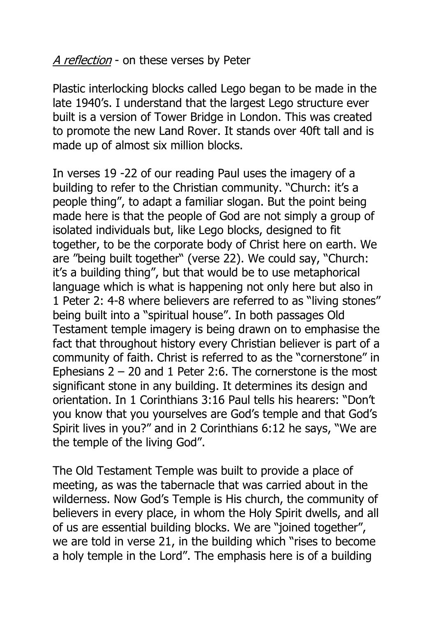A reflection - on these verses by Peter

Plastic interlocking blocks called Lego began to be made in the late 1940's. I understand that the largest Lego structure ever built is a version of Tower Bridge in London. This was created to promote the new Land Rover. It stands over 40ft tall and is made up of almost six million blocks.

In verses 19 -22 of our reading Paul uses the imagery of a building to refer to the Christian community. "Church: it's a people thing", to adapt a familiar slogan. But the point being made here is that the people of God are not simply a group of isolated individuals but, like Lego blocks, designed to fit together, to be the corporate body of Christ here on earth. We are "being built together" (verse 22). We could say, "Church: it's a building thing", but that would be to use metaphorical language which is what is happening not only here but also in 1 Peter 2: 4-8 where believers are referred to as "living stones" being built into a "spiritual house". In both passages Old Testament temple imagery is being drawn on to emphasise the fact that throughout history every Christian believer is part of a community of faith. Christ is referred to as the "cornerstone" in Ephesians  $2 - 20$  and 1 Peter 2:6. The cornerstone is the most significant stone in any building. It determines its design and orientation. In 1 Corinthians 3:16 Paul tells his hearers: "Don't you know that you yourselves are God's temple and that God's Spirit lives in you?" and in 2 Corinthians 6:12 he says, "We are the temple of the living God".

The Old Testament Temple was built to provide a place of meeting, as was the tabernacle that was carried about in the wilderness. Now God's Temple is His church, the community of believers in every place, in whom the Holy Spirit dwells, and all of us are essential building blocks. We are "joined together", we are told in verse 21, in the building which "rises to become a holy temple in the Lord". The emphasis here is of a building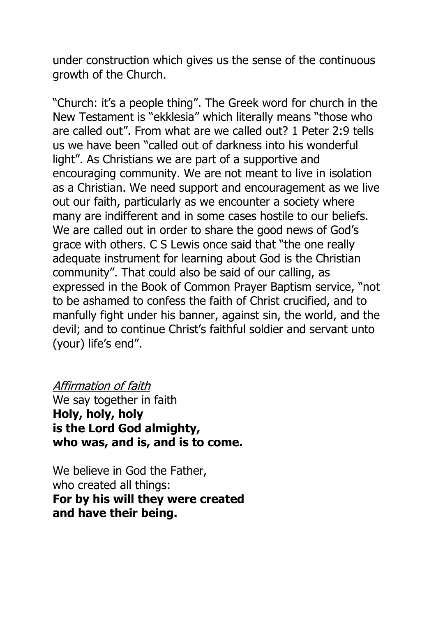under construction which gives us the sense of the continuous growth of the Church.

"Church: it's a people thing". The Greek word for church in the New Testament is "ekklesia" which literally means "those who are called out". From what are we called out? 1 Peter 2:9 tells us we have been "called out of darkness into his wonderful light". As Christians we are part of a supportive and encouraging community. We are not meant to live in isolation as a Christian. We need support and encouragement as we live out our faith, particularly as we encounter a society where many are indifferent and in some cases hostile to our beliefs. We are called out in order to share the good news of God's grace with others. C S Lewis once said that "the one really adequate instrument for learning about God is the Christian community". That could also be said of our calling, as expressed in the Book of Common Prayer Baptism service, "not to be ashamed to confess the faith of Christ crucified, and to manfully fight under his banner, against sin, the world, and the devil; and to continue Christ's faithful soldier and servant unto (your) life's end".

#### Affirmation of faith

We say together in faith **Holy, holy, holy is the Lord God almighty, who was, and is, and is to come.**

We believe in God the Father, who created all things: **For by his will they were created and have their being.**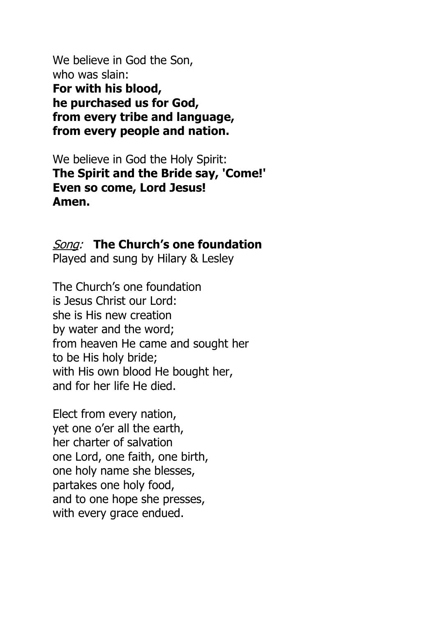We believe in God the Son, who was slain: **For with his blood, he purchased us for God, from every tribe and language, from every people and nation.**

We believe in God the Holy Spirit: **The Spirit and the Bride say, 'Come!' Even so come, Lord Jesus! Amen.**

Song: **The Church's one foundation**

Played and sung by Hilary & Lesley

The Church's one foundation is Jesus Christ our Lord: she is His new creation by water and the word; from heaven He came and sought her to be His holy bride; with His own blood He bought her, and for her life He died.

Elect from every nation, yet one o'er all the earth, her charter of salvation one Lord, one faith, one birth, one holy name she blesses, partakes one holy food, and to one hope she presses, with every grace endued.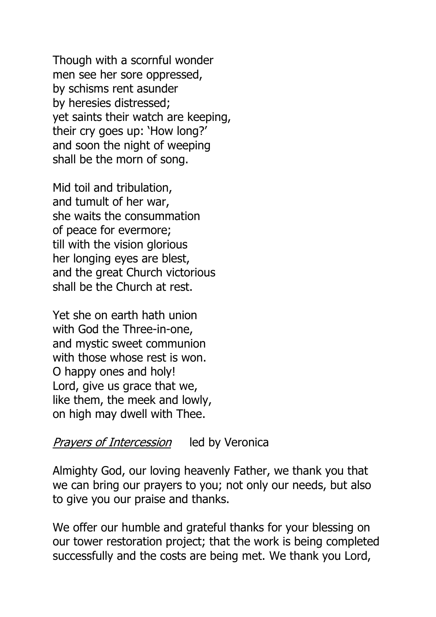Though with a scornful wonder men see her sore oppressed, by schisms rent asunder by heresies distressed; yet saints their watch are keeping, their cry goes up: 'How long?' and soon the night of weeping shall be the morn of song.

Mid toil and tribulation, and tumult of her war, she waits the consummation of peace for evermore; till with the vision glorious her longing eyes are blest, and the great Church victorious shall be the Church at rest.

Yet she on earth hath union with God the Three-in-one, and mystic sweet communion with those whose rest is won. O happy ones and holy! Lord, give us grace that we, like them, the meek and lowly, on high may dwell with Thee.

### Prayers of Intercession led by Veronica

Almighty God, our loving heavenly Father, we thank you that we can bring our prayers to you; not only our needs, but also to give you our praise and thanks.

We offer our humble and grateful thanks for your blessing on our tower restoration project; that the work is being completed successfully and the costs are being met. We thank you Lord,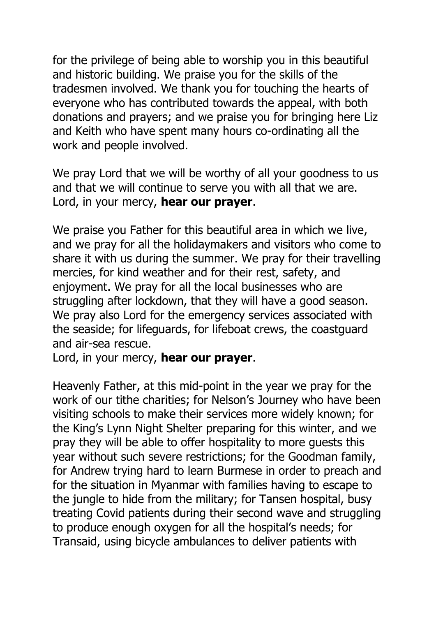for the privilege of being able to worship you in this beautiful and historic building. We praise you for the skills of the tradesmen involved. We thank you for touching the hearts of everyone who has contributed towards the appeal, with both donations and prayers; and we praise you for bringing here Liz and Keith who have spent many hours co-ordinating all the work and people involved.

We pray Lord that we will be worthy of all your goodness to us and that we will continue to serve you with all that we are. Lord, in your mercy, **hear our prayer**.

We praise you Father for this beautiful area in which we live, and we pray for all the holidaymakers and visitors who come to share it with us during the summer. We pray for their travelling mercies, for kind weather and for their rest, safety, and enjoyment. We pray for all the local businesses who are struggling after lockdown, that they will have a good season. We pray also Lord for the emergency services associated with the seaside; for lifeguards, for lifeboat crews, the coastguard and air-sea rescue.

Lord, in your mercy, **hear our prayer**.

Heavenly Father, at this mid-point in the year we pray for the work of our tithe charities; for Nelson's Journey who have been visiting schools to make their services more widely known; for the King's Lynn Night Shelter preparing for this winter, and we pray they will be able to offer hospitality to more guests this year without such severe restrictions; for the Goodman family, for Andrew trying hard to learn Burmese in order to preach and for the situation in Myanmar with families having to escape to the jungle to hide from the military; for Tansen hospital, busy treating Covid patients during their second wave and struggling to produce enough oxygen for all the hospital's needs; for Transaid, using bicycle ambulances to deliver patients with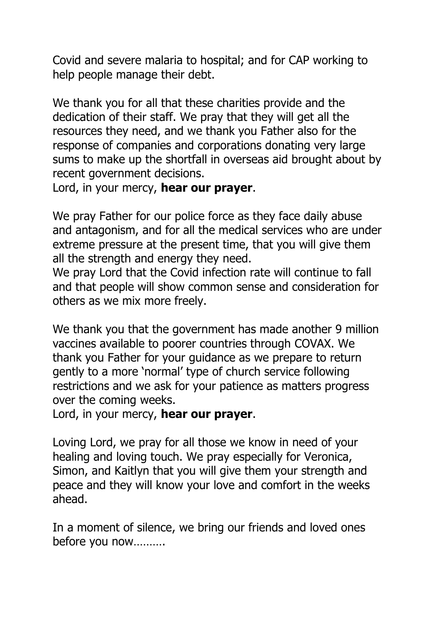Covid and severe malaria to hospital; and for CAP working to help people manage their debt.

We thank you for all that these charities provide and the dedication of their staff. We pray that they will get all the resources they need, and we thank you Father also for the response of companies and corporations donating very large sums to make up the shortfall in overseas aid brought about by recent government decisions.

Lord, in your mercy, **hear our prayer**.

We pray Father for our police force as they face daily abuse and antagonism, and for all the medical services who are under extreme pressure at the present time, that you will give them all the strength and energy they need.

We pray Lord that the Covid infection rate will continue to fall and that people will show common sense and consideration for others as we mix more freely.

We thank you that the government has made another 9 million vaccines available to poorer countries through COVAX. We thank you Father for your guidance as we prepare to return gently to a more 'normal' type of church service following restrictions and we ask for your patience as matters progress over the coming weeks.

Lord, in your mercy, **hear our prayer**.

Loving Lord, we pray for all those we know in need of your healing and loving touch. We pray especially for Veronica, Simon, and Kaitlyn that you will give them your strength and peace and they will know your love and comfort in the weeks ahead.

In a moment of silence, we bring our friends and loved ones before you now……….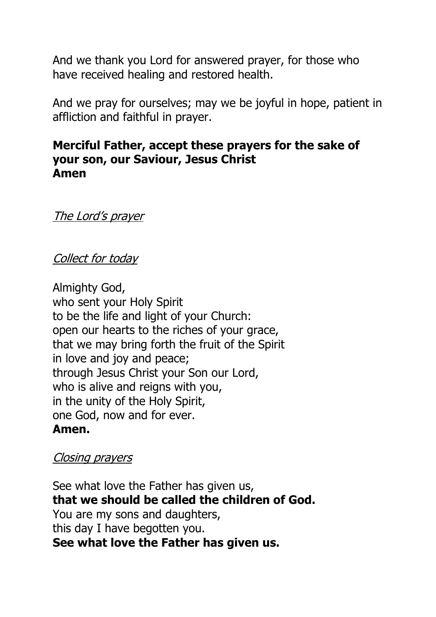And we thank you Lord for answered prayer, for those who have received healing and restored health.

And we pray for ourselves; may we be joyful in hope, patient in affliction and faithful in prayer.

## **Merciful Father, accept these prayers for the sake of your son, our Saviour, Jesus Christ Amen**

The Lord's prayer

## Collect for today

Almighty God, who sent your Holy Spirit to be the life and light of your Church: open our hearts to the riches of your grace, that we may bring forth the fruit of the Spirit in love and joy and peace; through Jesus Christ your Son our Lord, who is alive and reigns with you, in the unity of the Holy Spirit, one God, now and for ever. **Amen.**

#### Closing prayers

See what love the Father has given us, **that we should be called the children of God.** You are my sons and daughters, this day I have begotten you. **See what love the Father has given us.**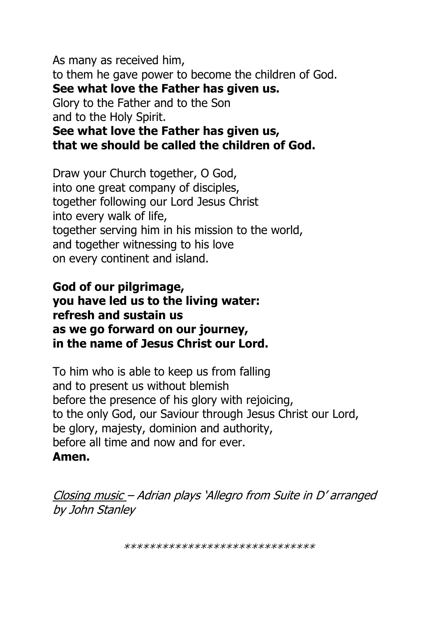As many as received him, to them he gave power to become the children of God. **See what love the Father has given us.** Glory to the Father and to the Son and to the Holy Spirit.

**See what love the Father has given us, that we should be called the children of God.**

Draw your Church together, O God, into one great company of disciples, together following our Lord Jesus Christ into every walk of life, together serving him in his mission to the world, and together witnessing to his love on every continent and island.

# **God of our pilgrimage, you have led us to the living water: refresh and sustain us as we go forward on our journey, in the name of Jesus Christ our Lord.**

To him who is able to keep us from falling and to present us without blemish before the presence of his glory with rejoicing, to the only God, our Saviour through Jesus Christ our Lord, be glory, majesty, dominion and authority, before all time and now and for ever. **Amen.**

Closing music – Adrian plays 'Allegro from Suite in D' arranged by John Stanley

\*\*\*\*\*\*\*\*\*\*\*\*\*\*\*\*\*\*\*\*\*\*\*\*\*\*\*\*\*\*